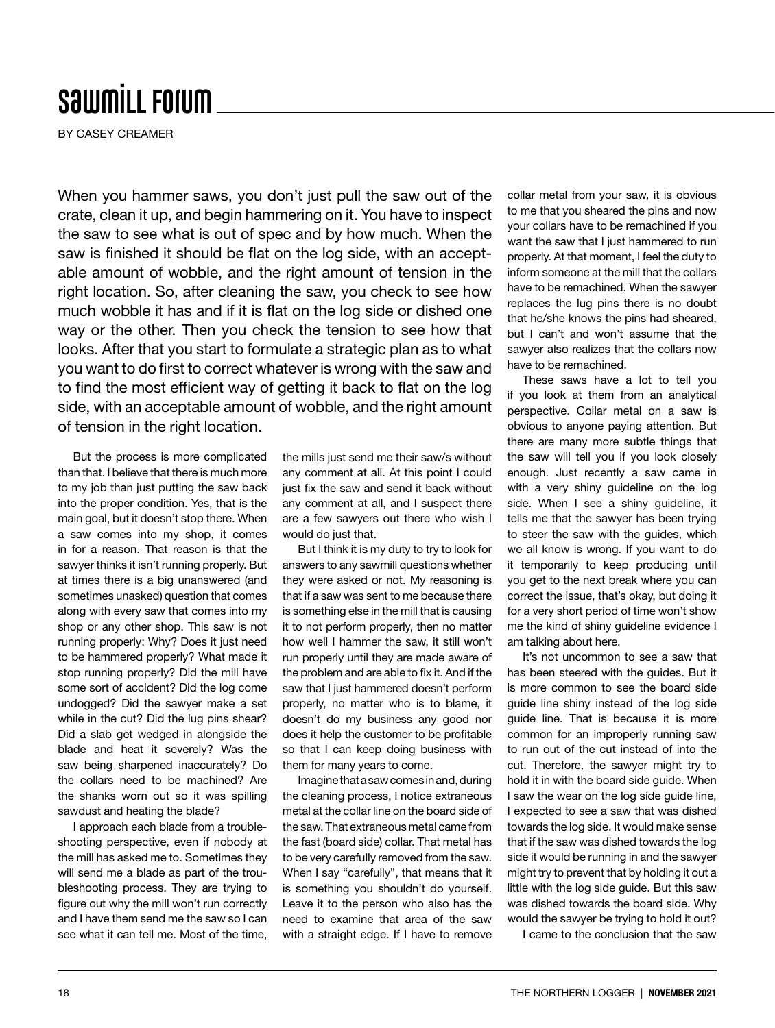## **SawmiLL Forum**

BY CASEY CREAMER

When you hammer saws, you don't just pull the saw out of the crate, clean it up, and begin hammering on it. You have to inspect the saw to see what is out of spec and by how much. When the saw is finished it should be flat on the log side, with an acceptable amount of wobble, and the right amount of tension in the right location. So, after cleaning the saw, you check to see how much wobble it has and if it is flat on the log side or dished one way or the other. Then you check the tension to see how that looks. After that you start to formulate a strategic plan as to what you want to do first to correct whatever is wrong with the saw and to find the most efficient way of getting it back to flat on the log side, with an acceptable amount of wobble, and the right amount of tension in the right location.

But the process is more complicated than that. I believe that there is much more to my job than just putting the saw back into the proper condition. Yes, that is the main goal, but it doesn't stop there. When a saw comes into my shop, it comes in for a reason. That reason is that the sawyer thinks it isn't running properly. But at times there is a big unanswered (and sometimes unasked) question that comes along with every saw that comes into my shop or any other shop. This saw is not running properly: Why? Does it just need to be hammered properly? What made it stop running properly? Did the mill have some sort of accident? Did the log come undogged? Did the sawyer make a set while in the cut? Did the lug pins shear? Did a slab get wedged in alongside the blade and heat it severely? Was the saw being sharpened inaccurately? Do the collars need to be machined? Are the shanks worn out so it was spilling sawdust and heating the blade?

I approach each blade from a troubleshooting perspective, even if nobody at the mill has asked me to. Sometimes they will send me a blade as part of the troubleshooting process. They are trying to figure out why the mill won't run correctly and I have them send me the saw so I can see what it can tell me. Most of the time,

the mills just send me their saw/s without any comment at all. At this point I could just fix the saw and send it back without any comment at all, and I suspect there are a few sawyers out there who wish I would do just that.

But I think it is my duty to try to look for answers to any sawmill questions whether they were asked or not. My reasoning is that if a saw was sent to me because there is something else in the mill that is causing it to not perform properly, then no matter how well I hammer the saw, it still won't run properly until they are made aware of the problem and are able to fix it. And if the saw that I just hammered doesn't perform properly, no matter who is to blame, it doesn't do my business any good nor does it help the customer to be profitable so that I can keep doing business with them for many years to come.

Imagine that a saw comes in and, during the cleaning process, I notice extraneous metal at the collar line on the board side of the saw. That extraneous metal came from the fast (board side) collar. That metal has to be very carefully removed from the saw. When I say "carefully", that means that it is something you shouldn't do yourself. Leave it to the person who also has the need to examine that area of the saw with a straight edge. If I have to remove collar metal from your saw, it is obvious to me that you sheared the pins and now your collars have to be remachined if you want the saw that I just hammered to run properly. At that moment, I feel the duty to inform someone at the mill that the collars have to be remachined. When the sawyer replaces the lug pins there is no doubt that he/she knows the pins had sheared, but I can't and won't assume that the sawyer also realizes that the collars now have to be remachined.

These saws have a lot to tell you if you look at them from an analytical perspective. Collar metal on a saw is obvious to anyone paying attention. But there are many more subtle things that the saw will tell you if you look closely enough. Just recently a saw came in with a very shiny guideline on the log side. When I see a shiny guideline, it tells me that the sawyer has been trying to steer the saw with the guides, which we all know is wrong. If you want to do it temporarily to keep producing until you get to the next break where you can correct the issue, that's okay, but doing it for a very short period of time won't show me the kind of shiny guideline evidence I am talking about here.

It's not uncommon to see a saw that has been steered with the guides. But it is more common to see the board side guide line shiny instead of the log side guide line. That is because it is more common for an improperly running saw to run out of the cut instead of into the cut. Therefore, the sawyer might try to hold it in with the board side guide. When I saw the wear on the log side guide line, I expected to see a saw that was dished towards the log side. It would make sense that if the saw was dished towards the log side it would be running in and the sawyer might try to prevent that by holding it out a little with the log side guide. But this saw was dished towards the board side. Why would the sawyer be trying to hold it out?

I came to the conclusion that the saw